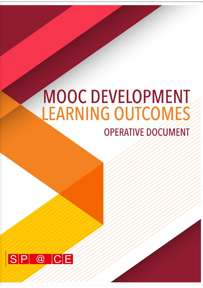# MOOC DEVELOPMENT **LEARNING OUTCOMES**

# **OPERATIVE DOCUMENT**

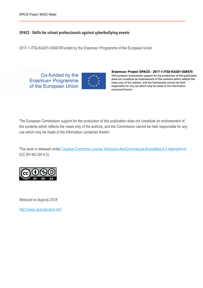#### **SPACE - Skills for school professionals against cyberbullying events**

2017-1-IT02-KA201-036470Funded by the Erasmus+ Programme of the European Union

Co-funded by the Erasmus+ Programme of the European Union



Erasmus+ Project SPACE - 2017-1-IT02-KA201-036470 The European Commission support for the production of this publication does not constitute an endorsement of the contents which reflects the views only of the authors, and the Commission cannot be held responsible for any use which may be made of the information contained therein

The European Commission support for the production of this publication does not constitute an endorsement of the contents which reflects the views only of the authors, and the Commission cannot be held responsible for any use which may be made of the information contained therein.

This work is released under Creative Commons License Attribution-NonCommercial-ShareAlike 4.0 International (CC BY-NC-SA 4.0)



*Released on Augusty 2018* 

http://www.spaceproject.net/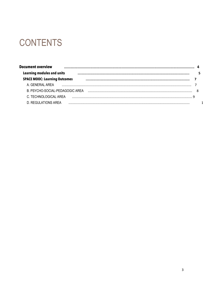# **CONTENTS**

| <b>Document overview</b>             |  |
|--------------------------------------|--|
| <b>Learning modules and units</b>    |  |
| <b>SPACE MOOC: Learning Outcomes</b> |  |
| A GENERAL AREA                       |  |
| B PSYCHO-SOCIAL-PEDAGOGIC AREA       |  |
| C TECHNOLOGICAL AREA                 |  |
| D. REGULATIONS AREA                  |  |

 $\overline{1}$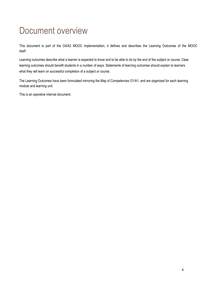# Document overview

This document is part of the O4/A2 MOOC implementation; it defines and describes the Learning Outcomes of the MOOC itself.

Learning outcomes describe what a learner is expected to know and to be able to do by the end of the subject or course. Clear learning outcomes should benefit students in a number of ways. Statements of learning outcomes should explain to learners what they will learn on successful completion of a subject or course.

The Learning Outcomes have been formulated mirroring the Map of Competences O1/A1, and are organized for each learning module and learning unit.

This is an operative internal document.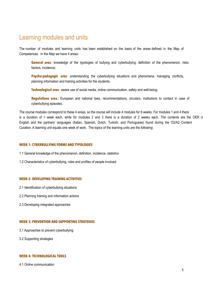# Learning modules and units

The number of modules and learning units has been established on the basis of the areas defined in the Map of Competences. In the Map we have 4 areas:

**General area**: knowledge of the typologies of bullying and cyberbullying, definition of the phenomenon, risks factors, incidence;

**Psycho-pedagogic area:** understanding the cyberbullying situations and phenomena, managing conflicts, planning information and training activities for the students;

**Technological area** : aware use of social media, online communication, safety and well-being;

**Regulations area**: European and national laws, recommendations, circulars, institutions to contact in case of cyberbullying episodes.

The course modules correspond to these 4 areas, so the course will include 4 modules for 6 weeks. For modules 1 and 4 there is a duration of 1 week each, while for modules 2 and 3 there is a duration of 2 weeks each. The contents are the OER in English and the partners' languages (Italian, Spanish, Dutch, Turkish, and Portuguese) found during the O2/A2 Content Curation. A learning unit equals one week of work. The topics of the learning units are the following:

#### **WEEK 1: CYBERBULLYING FORMS AND TYPOLOGIES**

- 1.1 General knowledge of the phenomenon, definition, incidence, statistics
- 1.2 Characteristics of cyberbullying, roles and profiles of people involved

#### **WEEK 2: DEVELOPING TRAINING ACTIVITIES**

- 2.1 Identification of cyberbullying situations
- 2.2 Planning training and information actions
- 2.3 Developing integrated approaches

#### **WEEK 3: PREVENTION AND SUPPORTING STRATEGIES**

- 3.1 Approaches to prevent cyberbullying
- 3.2 Supporting strategies

#### **WEEK 4: TECHNOLOGICAL TOOLS**

4.1 Online communication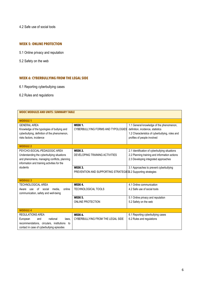4.2 Safe use of social tools

#### **WEEK 5: ONLINE PROTECTION**

- 5.1 Online privacy and reputation
- 5.2 Safety on the web

#### **WEEK 6: CYBERBULLYING FROM THE LEGAL SIDE**

- 6.1 Reporting cyberbullying cases
- 6.2 Rules and regulations

| <b>MOOC MODULES AND UNITS: SUMMARY TABLE</b>                                                                                                                             |                                                                           |                                                                                                                                                                 |  |
|--------------------------------------------------------------------------------------------------------------------------------------------------------------------------|---------------------------------------------------------------------------|-----------------------------------------------------------------------------------------------------------------------------------------------------------------|--|
| <b>MODULE 1</b>                                                                                                                                                          |                                                                           |                                                                                                                                                                 |  |
| <b>GENERAL AREA</b><br>Knowledge of the typologies of bullying and<br>cyberbullying, definition of the phenomenon,<br>risks factors, incidence                           | WEEK 1.<br>CYBERBULLYING FORMS AND TYPOLOGIES                             | 1.1 General knowledge of the phenomenon,<br>definition, incidence, statistics<br>1.2 Characteristics of cyberbullying, roles and<br>profiles of people involved |  |
| <b>MODULE 2</b>                                                                                                                                                          |                                                                           |                                                                                                                                                                 |  |
| PSYCHO-SOCIAL-PEDAGOGIC AREA<br>Understanding the cyberbullying situations<br>and phenomena, managing conflicts, planning<br>information and training activities for the | WEEK 2.<br>DEVELOPING TRAINING ACTIVITIES                                 | 2.1 Identification of cyberbullying situations<br>2.2 Planning training and information actions<br>2.3 Developing integrated approaches                         |  |
| students                                                                                                                                                                 | WEEK 3.<br>PREVENTION AND SUPPORTING STRATEGIES 3.2 Supporting strategies | 3.1 Approaches to prevent cyberbullying                                                                                                                         |  |
| <b>MODULE 3</b>                                                                                                                                                          |                                                                           |                                                                                                                                                                 |  |
| <b>TECHNOLOGICAL AREA</b><br>of<br>online<br>social<br>media.<br>use<br>Aware<br>communication, safety and well-being                                                    | WEEK 4.<br><b>TECHNOLOGICAL TOOLS</b>                                     | 4.1 Online communication<br>4.2 Safe use of social tools                                                                                                        |  |
|                                                                                                                                                                          | WEEK 5.<br><b>ONLINE PROTECTION</b>                                       | 5.1 Online privacy and reputation<br>5.2 Safety on the web                                                                                                      |  |
| <b>MODULE 4</b>                                                                                                                                                          |                                                                           |                                                                                                                                                                 |  |
| <b>REGULATIONS AREA</b><br>national<br>European<br>and<br>laws.<br>recommendations, circulars, institutions<br>to<br>contact in case of cyberbullying episodes           | WEEK 6.<br>CYBERBULLYING FROM THE LEGAL SIDE                              | 6.1 Reporting cyberbullying cases<br>6.2 Rules and regulations                                                                                                  |  |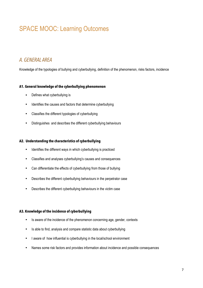# SPACE MOOC: Learning Outcomes

### *A. GENERAL AREA*

Knowledge of the typologies of bullying and cyberbullying, definition of the phenomenon, risks factors, incidence

#### **A1. General knowledge of the cyberbullying phenomenon**

- Defines what cyberbullying is
- Identifies the causes and factors that determine cyberbullying
- Classifies the different typologies of cyberbullying
- Distinguishes and describes the different cyberbullying behaviours

#### **A2. Understanding the characteristics of cyberbullying**

- Identifies the different ways in which cyberbullying is practiced
- Classifies and analyses cyberbullying's causes and consequences
- Can differentiate the effects of cyberbullying from those of bullying
- Describes the different cyberbullying behaviours in the perpetrator case
- Describes the different cyberbullying behaviours in the victim case

#### **A3. Knowledge of the incidence of cyberbullying**

- Is aware of the incidence of the phenomenon concerning age, gender, contexts
- Is able to find, analysis and compare statistic data about cyberbullying
- I aware of how influential is cyberbullying in the local/school environment
- Names some risk factors and provides information about incidence and possible consequences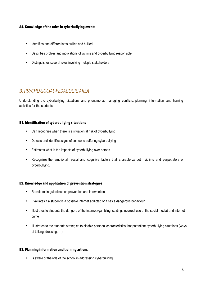#### **A4. Knowledge of the roles in cyberbullying events**

- Identifies and differentiates bullies and bullied
- Describes profiles and motivations of victims and cyberbullying responsible
- Distinguishes several roles involving multiple stakeholders

## *B. PSYCHO-SOCIAL-PEDAGOGIC AREA*

Understanding the cyberbullying situations and phenomena, managing conflicts, planning information and training activities for the students

#### **B1. Identification of cyberbullying situations**

- Can recognize when there is a situation at risk of cyberbullying
- Detects and identifies signs of someone suffering cyberbullying
- Estimates what is the impacts of cyberbullying over person
- Recognizes the emotional, social and cognitive factors that characterize both victims and perpetrators of cyberbullying.

#### **B2. Knowledge and application of prevention strategies**

- Recalls main guidelines on prevention and intervention
- Evaluates if a student is a possible internet addicted or if has a dangerous behaviour
- Illustrates to students the dangers of the internet (gambling, sexting, incorrect use of the social media) and internet crime
- Illustrates to the students strategies to disable personal characteristics that potentiate cyberbullying situations (ways of talking, dressing, …)

#### **B3. Planning information and training actions**

• Is aware of the role of the school in addressing cyberbullying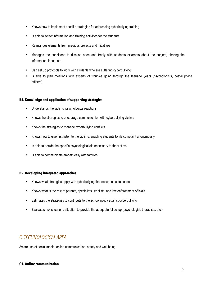- Knows how to implement specific strategies for addressing cyberbullying training
- Is able to select information and training activities for the students
- Rearranges elements from previous projects and initiatives
- Manages the conditions to discuss open and freely with students or parents about the subject, sharing the information, ideas, etc.
- Can set up protocols to work with students who are suffering cyberbullying
- Is able to plan meetings with experts of troubles going through the teenage years (psychologists, postal police officers)

#### **B4. Knowledge and application of supporting strategies**

- Understands the victims' psychological reactions
- Knows the strategies to encourage communication with cyberbullying victims
- Knows the strategies to manage cyberbullying conflicts
- Knows how to give first listen to the victims, enabling students to file complaint anonymously
- Is able to decide the specific psychological aid necessary to the victims
- Is able to communicate empathically with families

#### **B5. Developing integrated approaches**

- Knows what strategies apply with cyberbullying that occurs outside school
- Knows what is the role of parents, specialists, legalists, and law enforcement officials
- Estimates the strategies to contribute to the school policy against cyberbullying
- Evaluates risk situations situation to provide the adequate follow-up (psychologist, therapists, etc.)

### *C. TECHNOLOGICAL AREA*

Aware use of social media, online communication, safety and well-being

#### **C1. Online communication**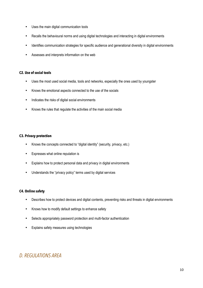- Uses the main digital communication tools
- Recalls the behavioural norms and using digital technologies and interacting in digital environments
- Identifies communication strategies for specific audience and generational diversity in digital environments
- Assesses and interprets information on the web

#### **C2. Use of social tools**

- Uses the most used social media, tools and networks, especially the ones used by youngster
- Knows the emotional aspects connected to the use of the socials
- Indicates the risks of digital social environments
- Knows the rules that regulate the activities of the main social media

#### **C3. Privacy protection**

- Knows the concepts connected to "digital identity" (security, privacy, etc.)
- Expresses what online reputation is
- Explains how to protect personal data and privacy in digital environments
- Understands the "privacy policy" terms used by digital services

#### **C4. Online safety**

- Describes how to protect devices and digital contents, preventing risks and threats in digital environments
- Knows how to modify default settings to enhance safety
- Selects appropriately password protection and multi-factor authentication
- Explains safety measures using technologies

## *D. REGULATIONS AREA*